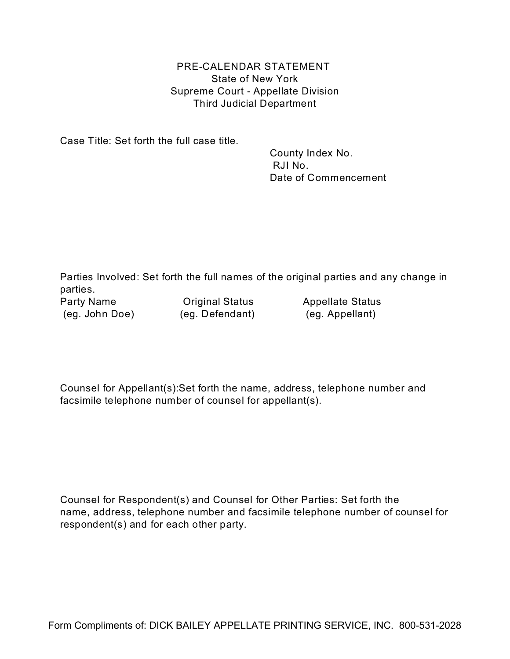PRE-CALENDAR STATEMENT State of New York Supreme Court - Appellate Division Third Judicial Department

Case Title: Set forth the full case title.

 County Index No. RJI No. Date of Commencement

Parties Involved: Set forth the full names of the original parties and any change in parties.

(eg. John Doe) (eg. Defendant) (eg. Appellant)

Party Name **Communists** Original Status **Appellate Status** 

Counsel for Appellant(s):Set forth the name, address, telephone number and facsimile telephone number of counsel for appellant(s).

Counsel for Respondent(s) and Counsel for Other Parties: Set forth the name, address, telephone number and facsimile telephone number of counsel for respondent(s) and for each other party.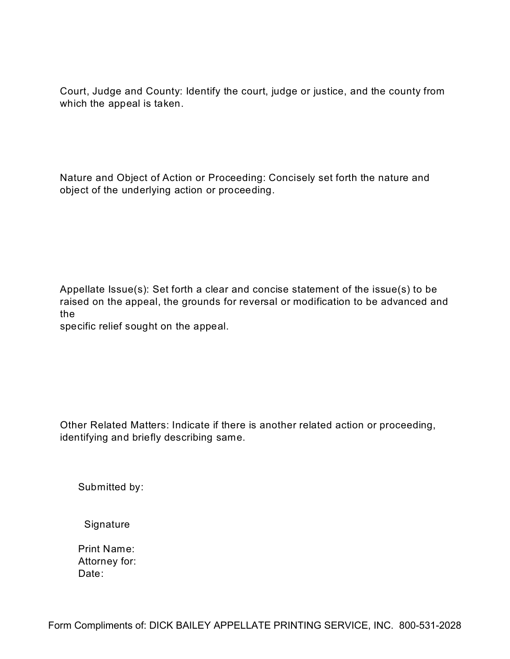Court, Judge and County: Identify the court, judge or justice, and the county from which the appeal is taken.

Nature and Object of Action or Proceeding: Concisely set forth the nature and object of the underlying action or proceeding.

Appellate Issue(s): Set forth a clear and concise statement of the issue(s) to be raised on the appeal, the grounds for reversal or modification to be advanced and the

specific relief sought on the appeal.

Other Related Matters: Indicate if there is another related action or proceeding, identifying and briefly describing same.

Submitted by:

Signature

 Print Name: Attorney for: Date: